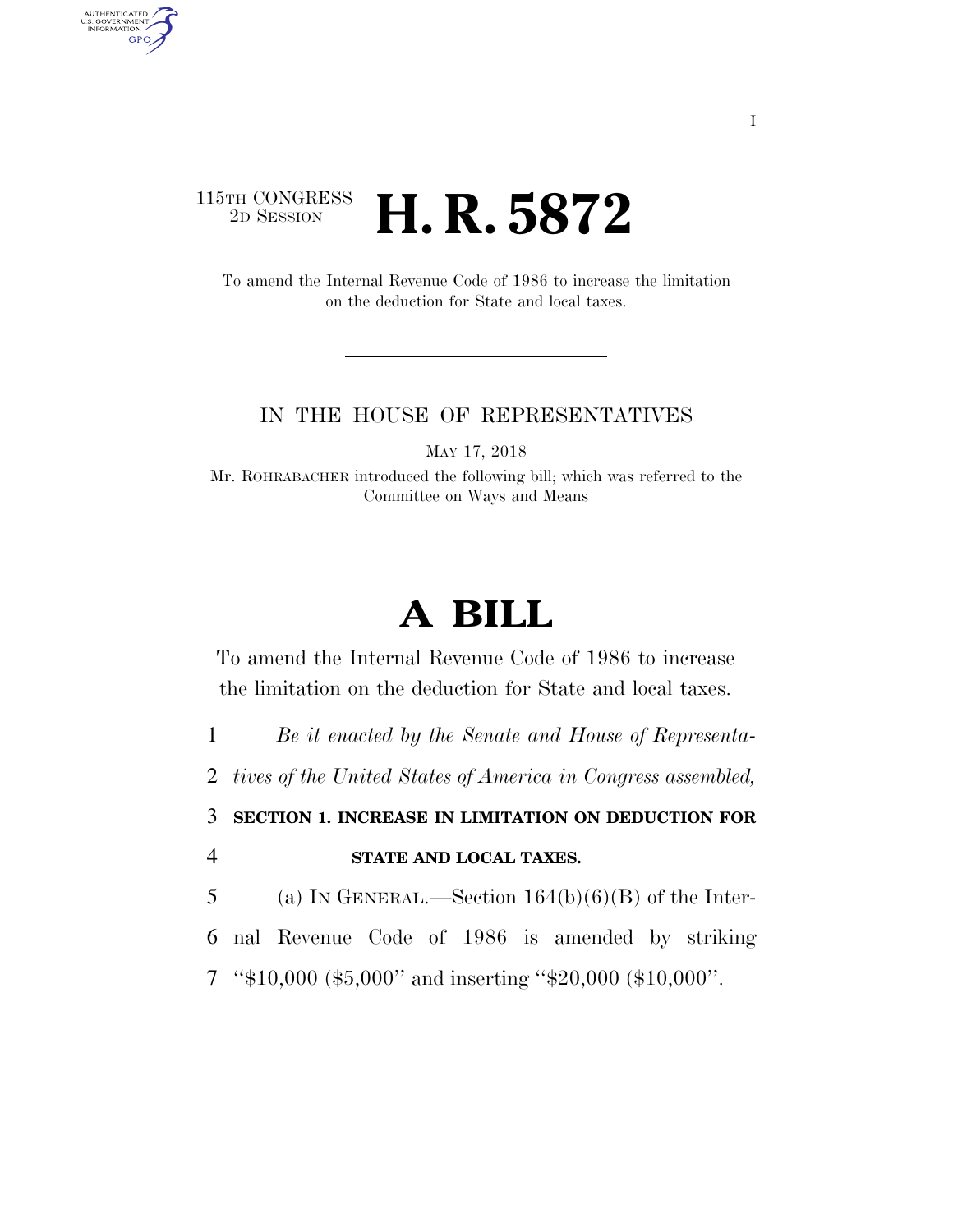## 115TH CONGRESS<br>2D SESSION 2D SESSION **H. R. 5872**

AUTHENTICATED<br>U.S. GOVERNMENT<br>INFORMATION

GPO

To amend the Internal Revenue Code of 1986 to increase the limitation on the deduction for State and local taxes.

## IN THE HOUSE OF REPRESENTATIVES

MAY 17, 2018

Mr. ROHRABACHER introduced the following bill; which was referred to the Committee on Ways and Means

## **A BILL**

To amend the Internal Revenue Code of 1986 to increase the limitation on the deduction for State and local taxes.

1 *Be it enacted by the Senate and House of Representa-*

2 *tives of the United States of America in Congress assembled,* 

3 **SECTION 1. INCREASE IN LIMITATION ON DEDUCTION FOR**  4 **STATE AND LOCAL TAXES.** 

5 (a) IN GENERAL.—Section  $164(b)(6)(B)$  of the Inter-

6 nal Revenue Code of 1986 is amended by striking

7 ''\$10,000 (\$5,000'' and inserting ''\$20,000 (\$10,000''.